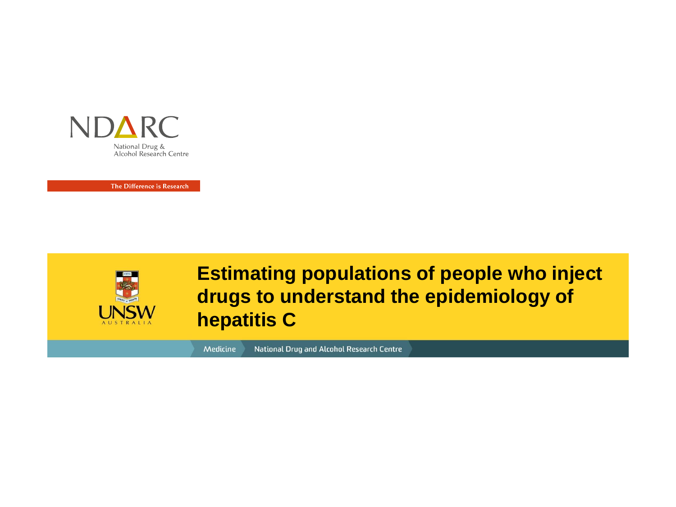

The Difference is Research



**Estimating populations of people who inject drugs to understand the epidemiology of hepatitis C**

National Drug and Alcohol Research Centre Medicine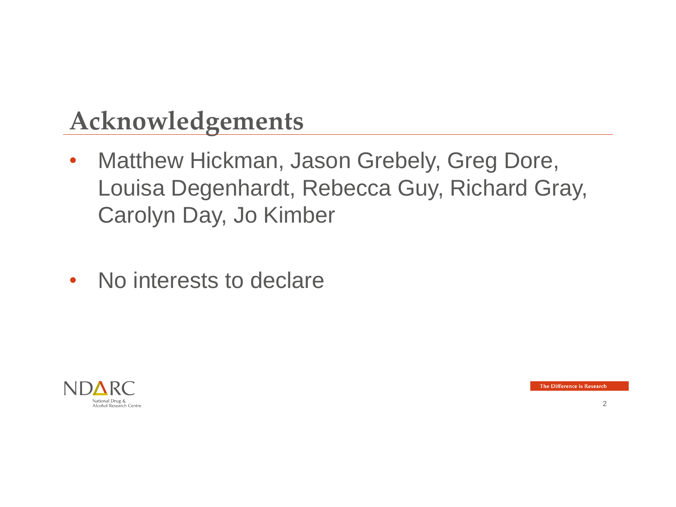#### **Acknowledgements**

- Matthew Hickman, Jason Grebely, Greg Dore, Louisa Degenhardt, Rebecca Guy, Richard Gray, Carolyn Day, Jo Kimber
- No interests to declare

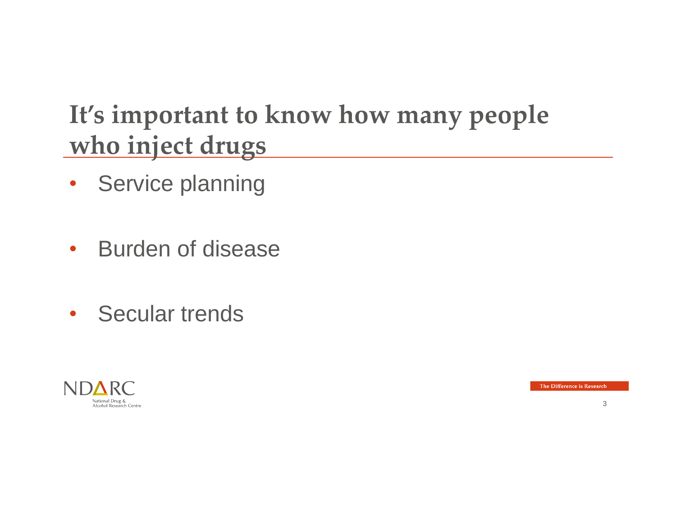## **It's important to know how many people who inject drugs**

- Service planning
- Burden of disease
- Secular trends

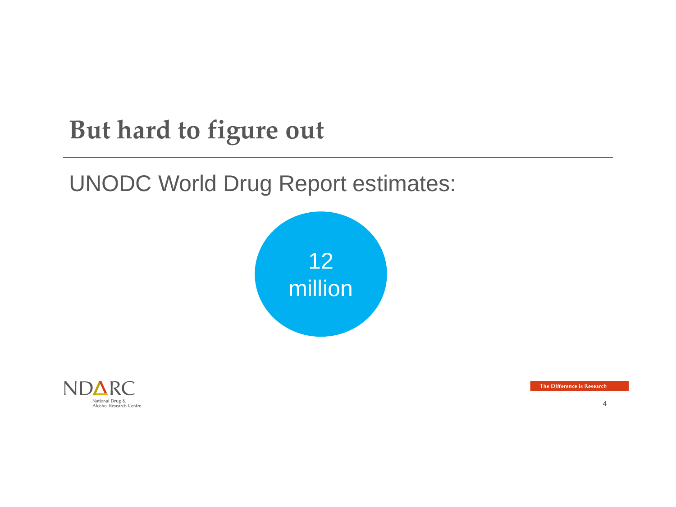## **But hard to figure out**

#### UNODC World Drug Report estimates:



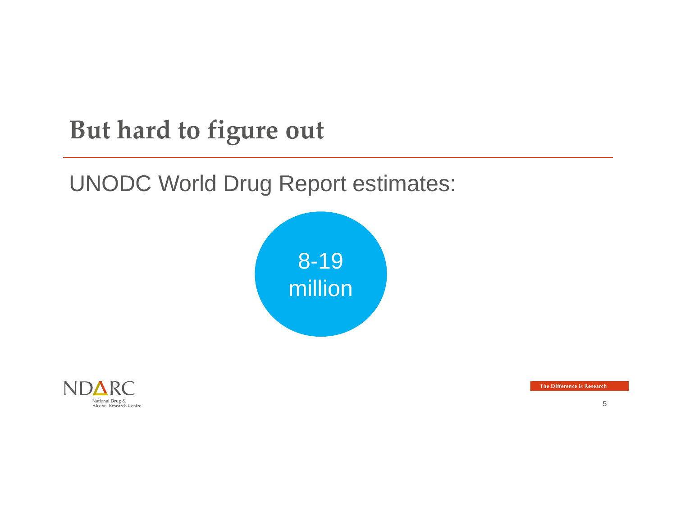## **But hard to figure out**

#### UNODC World Drug Report estimates:



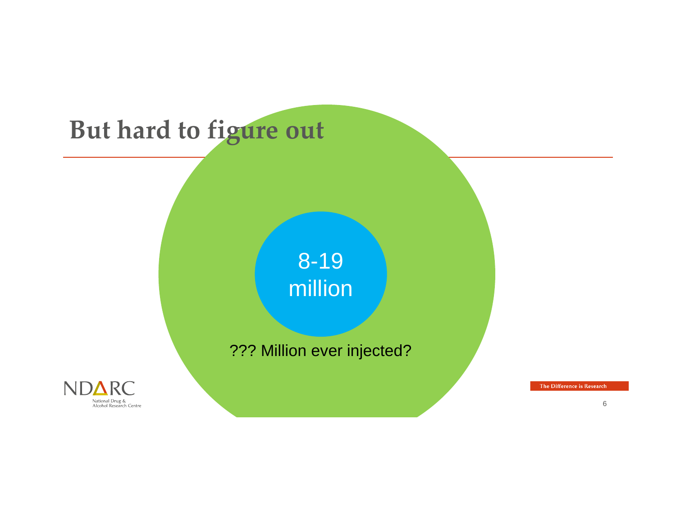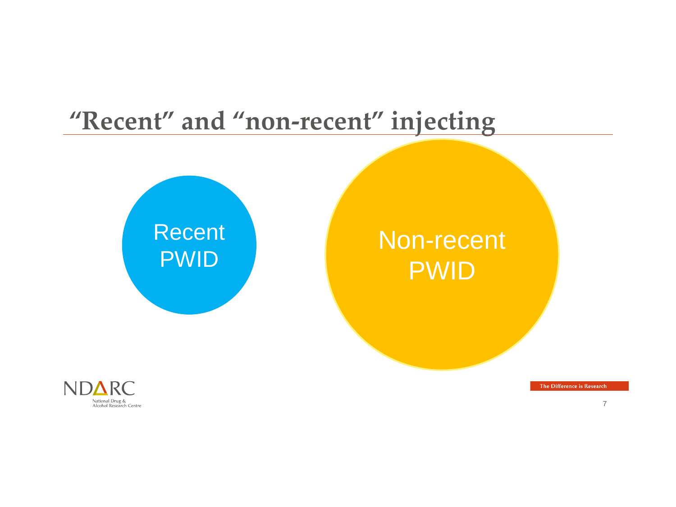#### **"Recent" and "non-recent" injecting**



#### Non-recent PWID



The Difference is Research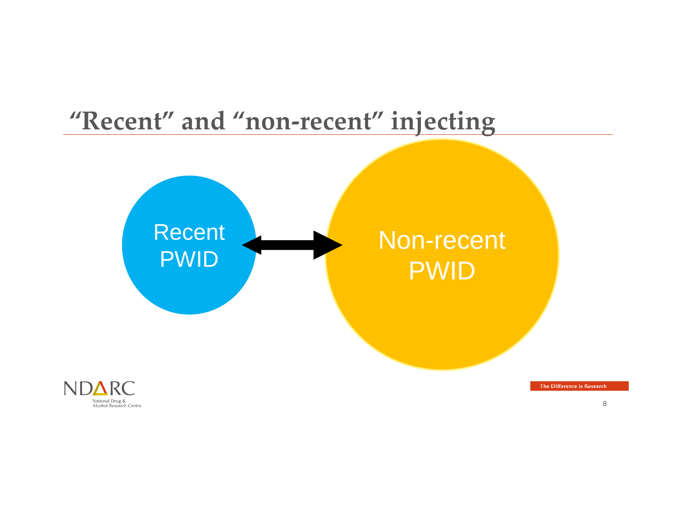# **"Recent" and "non-recent" injecting** Recent PWID Non-recent PWID

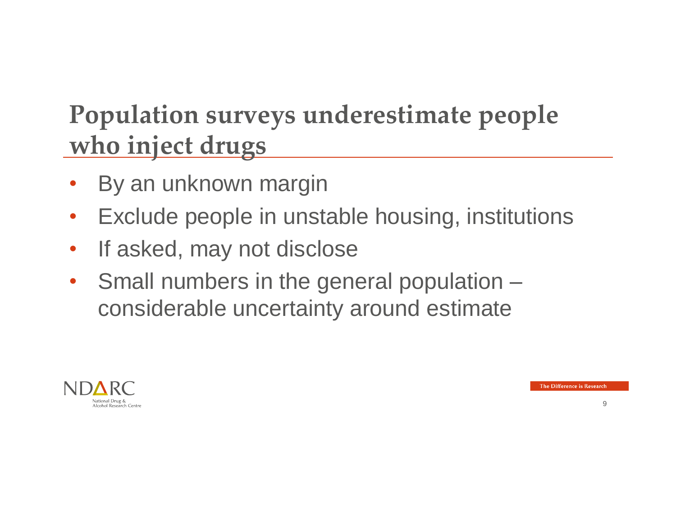## **Population surveys underestimate people who inject drugs**

- By an unknown margin
- Exclude people in unstable housing, institutions
- If asked, may not disclose
- Small numbers in the general population considerable uncertainty around estimate

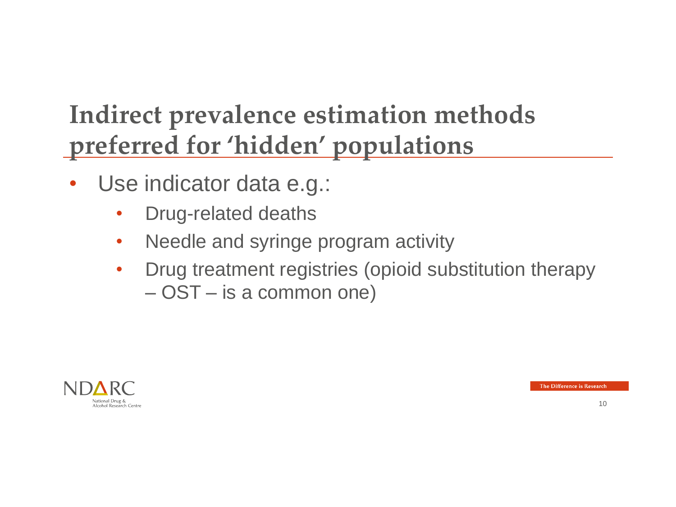- Use indicator data e.g.:
	- Drug-related deaths
	- Needle and syringe program activity
	- Drug treatment registries (opioid substitution therapy – OST – is a common one)

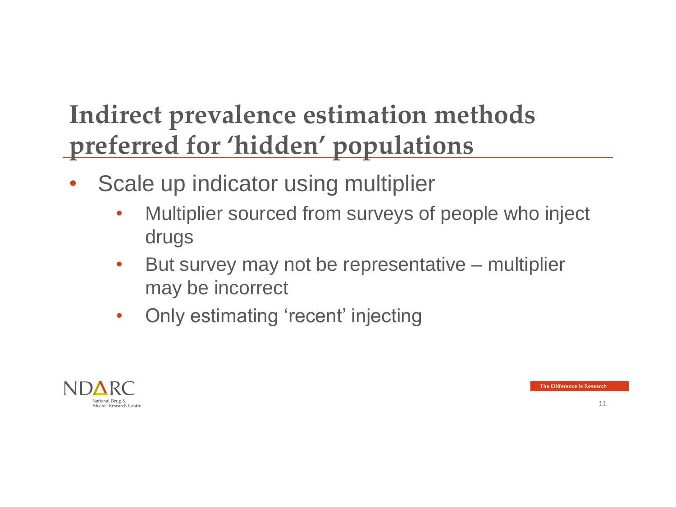- Scale up indicator using multiplier
	- Multiplier sourced from surveys of people who inject drugs
	- But survey may not be representative multiplier may be incorrect
	- Only estimating 'recent' injecting

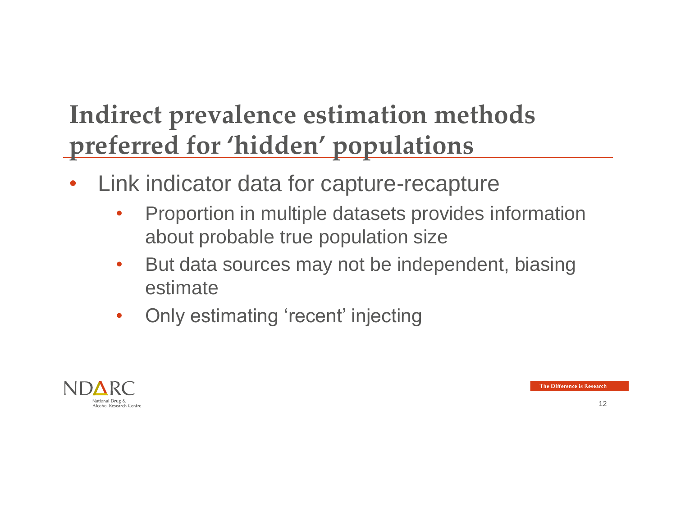- Link indicator data for capture-recapture
	- Proportion in multiple datasets provides information about probable true population size
	- But data sources may not be independent, biasing estimate
	- Only estimating 'recent' injecting

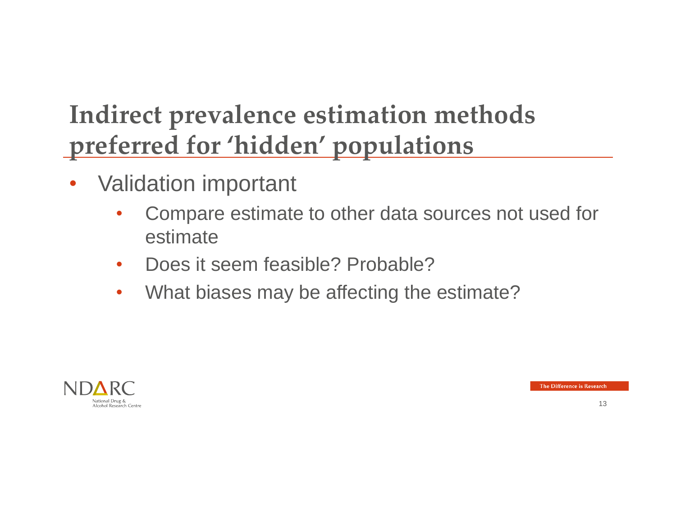- Validation important
	- Compare estimate to other data sources not used for estimate
	- Does it seem feasible? Probable?
	- What biases may be affecting the estimate?

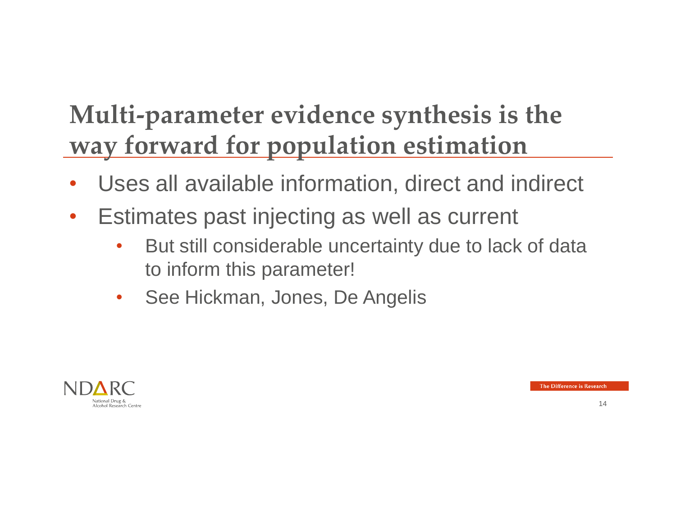# **Multi-parameter evidence synthesis is the way forward for population estimation**

- Uses all available information, direct and indirect
- Estimates past injecting as well as current
	- But still considerable uncertainty due to lack of data to inform this parameter!
	- See Hickman, Jones, De Angelis

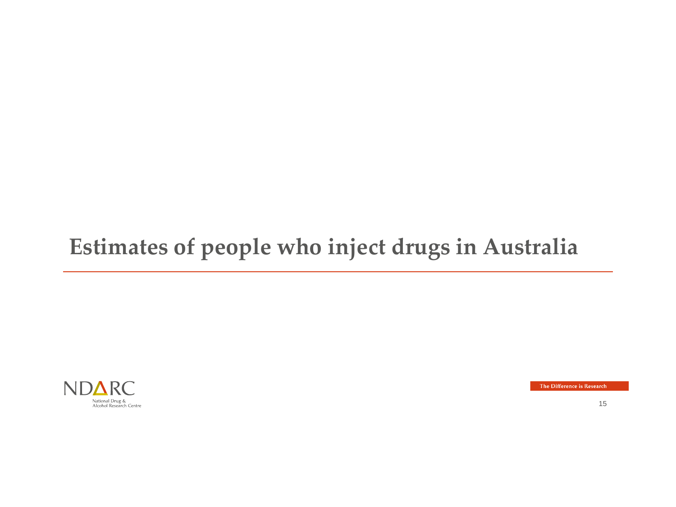#### **Estimates of people who inject drugs in Australia**



The Difference is Research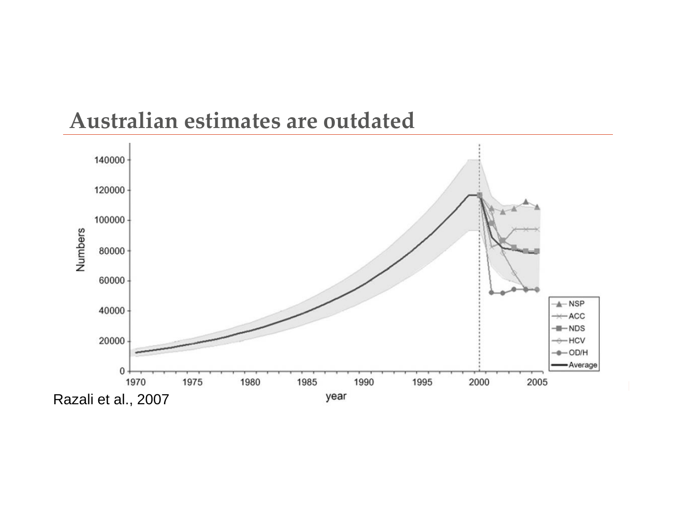

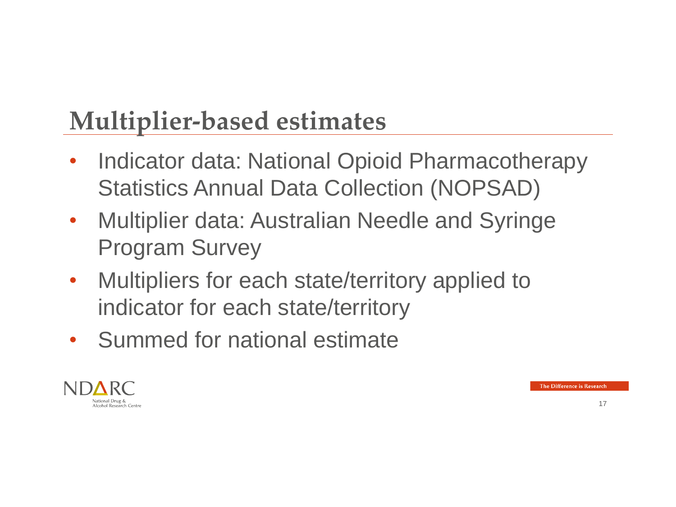# **Multiplier-based estimates**

- Indicator data: National Opioid Pharmacotherapy Statistics Annual Data Collection (NOPSAD)
- Multiplier data: Australian Needle and Syringe Program Survey
- Multipliers for each state/territory applied to indicator for each state/territory
- Summed for national estimate

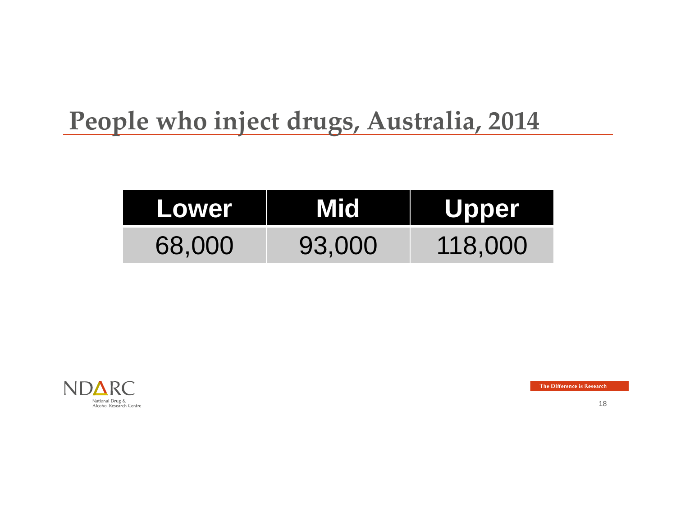#### **People who inject drugs, Australia, 2014**

| Lower  | <b>Mid</b> | <b>Upper</b> |
|--------|------------|--------------|
| 68,000 | 93,000     | 118,000      |



The Difference is Research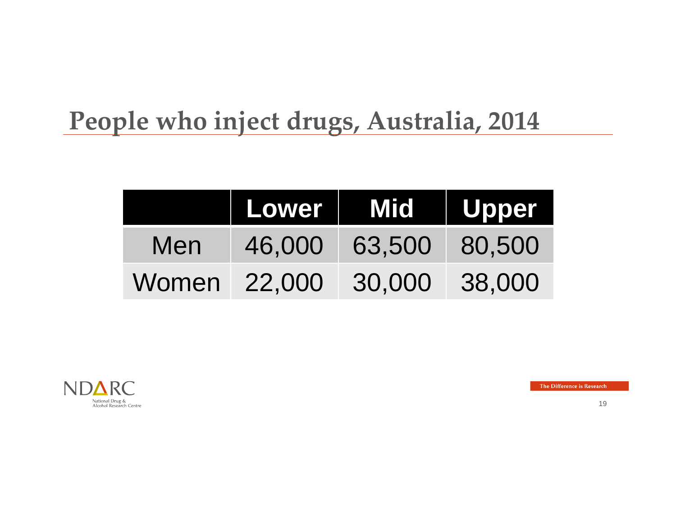## **People who inject drugs, Australia, 2014**

|       | Lower  | Mid Upper |        |
|-------|--------|-----------|--------|
| Men   | 46,000 | 63,500    | 80,500 |
| Women | 22,000 | 30,000    | 38,000 |



The Difference is Research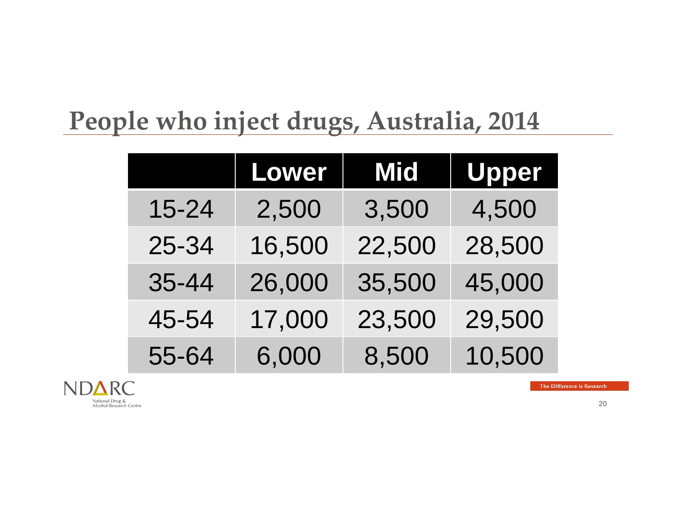## **People who inject drugs, Australia, 2014**

|           | Lower  | <b>Mid</b> | <b>Upper</b> |
|-----------|--------|------------|--------------|
| 15-24     | 2,500  | 3,500      | 4,500        |
| 25-34     | 16,500 | 22,500     | 28,500       |
| $35 - 44$ | 26,000 | 35,500     | 45,000       |
| 45-54     | 17,000 | 23,500     | 29,500       |
| 55-64     | 6,000  | 8,500      | 10,500       |

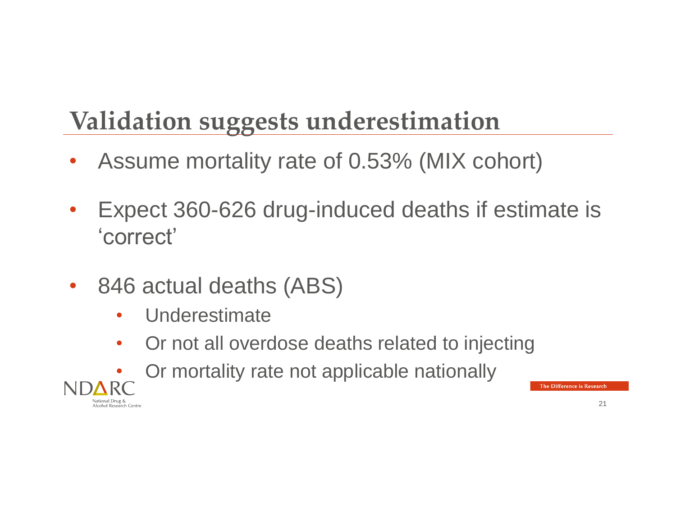# **Validation suggests underestimation**

- Assume mortality rate of 0.53% (MIX cohort)
- Expect 360-626 drug-induced deaths if estimate is 'correct'
- 846 actual deaths (ABS)
	- Underestimate
	- Or not all overdose deaths related to injecting
	- Or mortality rate not applicable nationally

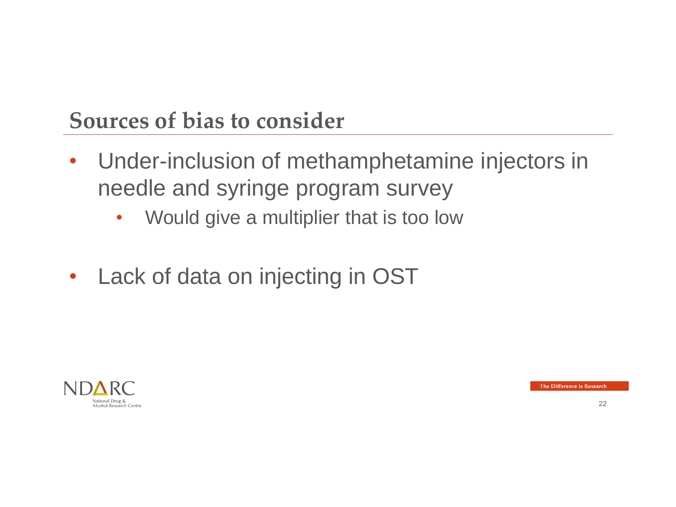#### **Sources of bias to consider**

- Under-inclusion of methamphetamine injectors in needle and syringe program survey
	- Would give a multiplier that is too low
- Lack of data on injecting in OST



The Difference is Research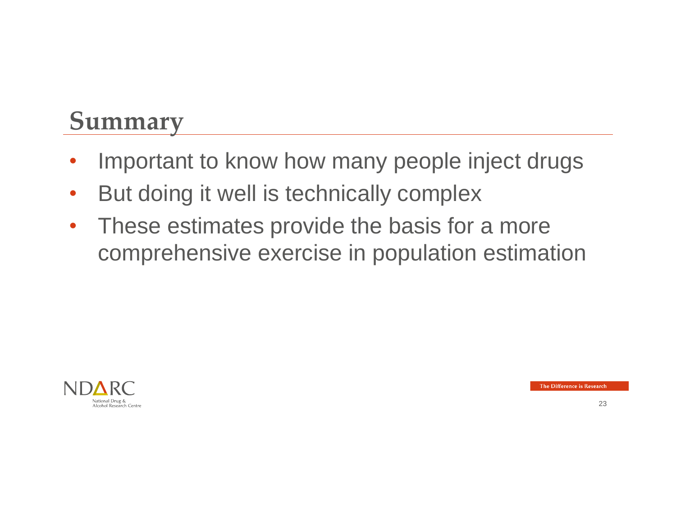#### **Summary**

- Important to know how many people inject drugs
- But doing it well is technically complex
- These estimates provide the basis for a more comprehensive exercise in population estimation